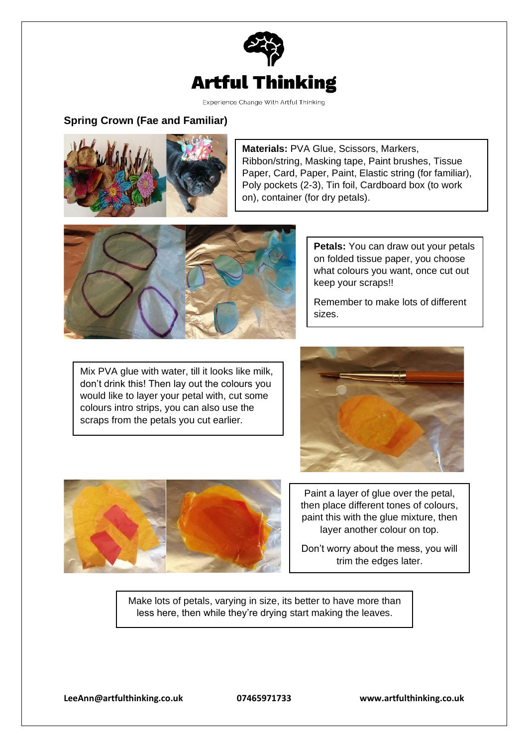

Experience Change With Artful Thinking

## **Spring Crown (Fae and Familiar)**



**Materials:** PVA Glue, Scissors, Markers, Ribbon/string, Masking tape, Paint brushes, Tissue Paper, Card, Paper, Paint, Elastic string (for familiar), Poly pockets (2-3), Tin foil, Cardboard box (to work on), container (for dry petals).



**Petals:** You can draw out your petals on folded tissue paper, you choose what colours you want, once cut out keep your scraps!!

Remember to make lots of different sizes.

Mix PVA glue with water, till it looks like milk, don't drink this! Then lay out the colours you would like to layer your petal with, cut some colours intro strips, you can also use the scraps from the petals you cut earlier.





Don't worry about the mess, you will trim the edges later.

Make lots of petals, varying in size, its better to have more than less here, then while they're drying start making the leaves.

**[LeeAnn@artfulthinking.co.uk](mailto:LeeAnn@artfulthinking.co.uk) 07465971733 www.artfulthinking.co.uk**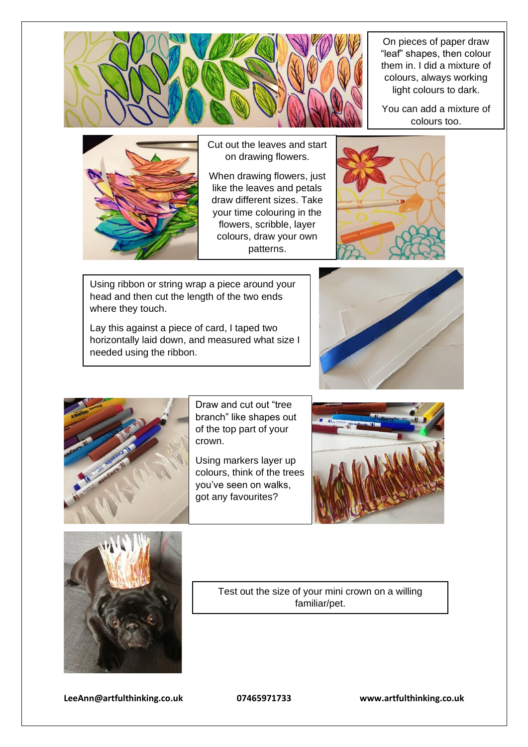

On pieces of paper draw "leaf" shapes, then colour them in. I did a mixture of colours, always working light colours to dark.

You can add a mixture of colours too.



Cut out the leaves and start on drawing flowers.

 $\overline{a}$ When drawing flowers, just like the leaves and petals draw different sizes. Take your time colouring in the flowers, scribble, layer colours, draw your own patterns.



Using ribbon or string wrap a piece around your head and then cut the length of the two ends where they touch.

Lay this against a piece of card, I taped two horizontally laid down, and measured what size I needed using the ribbon.





Draw and cut out "tree branch" like shapes out of the top part of your crown.

Using markers layer up colours, think of the trees you've seen on walks, got any favourites?





Test out the size of your mini crown on a willing familiar/pet.

**[LeeAnn@artfulthinking.co.uk](mailto:LeeAnn@artfulthinking.co.uk) 07465971733 www.artfulthinking.co.uk**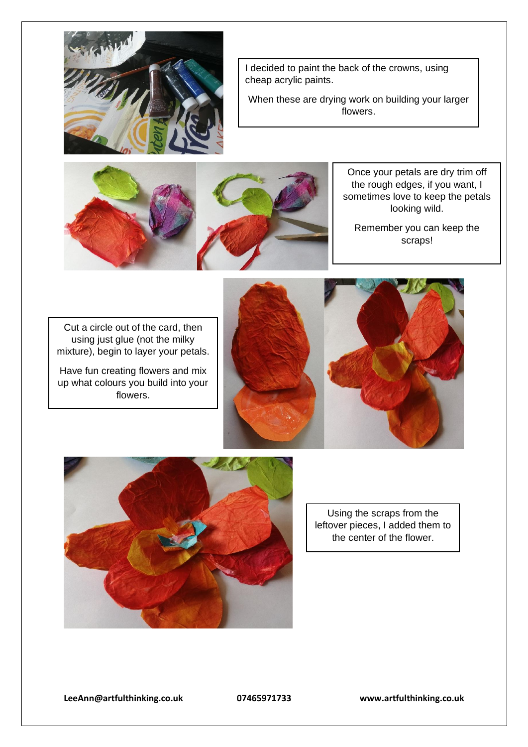

I decided to paint the back of the crowns, using cheap acrylic paints.

When these are drying work on building your larger flowers.



Once your petals are dry trim off the rough edges, if you want, I sometimes love to keep the petals looking wild.

Remember you can keep the scraps!

Cut a circle out of the card, then using just glue (not the milky mixture), begin to layer your petals.

Have fun creating flowers and mix up what colours you build into your flowers.







Using the scraps from the leftover pieces, I added them to the center of the flower.

**[LeeAnn@artfulthinking.co.uk](mailto:LeeAnn@artfulthinking.co.uk) 07465971733 www.artfulthinking.co.uk**